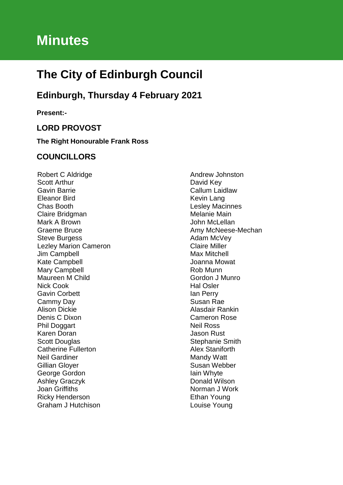# **Minutes**

# **The City of Edinburgh Council**

# **Edinburgh, Thursday 4 February 2021**

**Present:-**

# **LORD PROVOST**

**The Right Honourable Frank Ross**

# **COUNCILLORS**

Robert C Aldridge Scott Arthur Gavin Barrie Eleanor Bird Chas Booth Claire Bridgman Mark A Brown Graeme Bruce Steve Burgess Lezley Marion Cameron Jim Campbell Kate Campbell Mary Campbell Maureen M Child Nick Cook Gavin Corbett Cammy Day Alison Dickie Denis C Dixon Phil Doggart Karen Doran Scott Douglas Catherine Fullerton Neil Gardiner Gillian Gloyer George Gordon Ashley Graczyk Joan Griffiths Ricky Henderson Graham J Hutchison

Andrew Johnston David Key Callum Laidlaw Kevin Lang Lesley Macinnes Melanie Main John McLellan Amy McNeese-Mechan Adam McVey Claire Miller Max Mitchell Joanna Mowat Rob Munn Gordon J Munro Hal Osler Ian Perry Susan Rae Alasdair Rankin Cameron Rose Neil Ross Jason Rust Stephanie Smith Alex Staniforth Mandy Watt Susan Webber Iain Whyte Donald Wilson Norman J Work Ethan Young Louise Young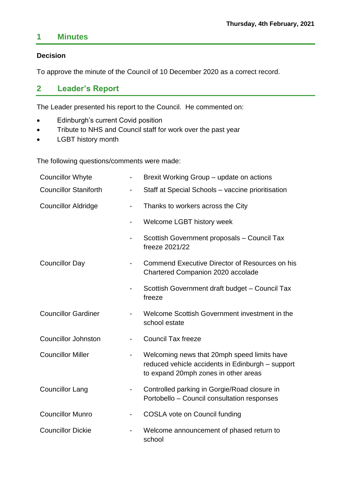# **1 Minutes**

# **Decision**

To approve the minute of the Council of 10 December 2020 as a correct record.

# **2 Leader's Report**

The Leader presented his report to the Council. He commented on:

- **•** Edinburgh's current Covid position
- Tribute to NHS and Council staff for work over the past year
- LGBT history month

The following questions/comments were made:

| <b>Councillor Whyte</b>      |                              | Brexit Working Group - update on actions                                                                                                |
|------------------------------|------------------------------|-----------------------------------------------------------------------------------------------------------------------------------------|
| <b>Councillor Staniforth</b> |                              | Staff at Special Schools - vaccine prioritisation                                                                                       |
| <b>Councillor Aldridge</b>   | $\overline{\phantom{0}}$     | Thanks to workers across the City                                                                                                       |
|                              | $\overline{\phantom{0}}$     | Welcome LGBT history week                                                                                                               |
|                              |                              | Scottish Government proposals - Council Tax<br>freeze 2021/22                                                                           |
| <b>Councillor Day</b>        |                              | Commend Executive Director of Resources on his<br>Chartered Companion 2020 accolade                                                     |
|                              |                              | Scottish Government draft budget - Council Tax<br>freeze                                                                                |
| <b>Councillor Gardiner</b>   |                              | Welcome Scottish Government investment in the<br>school estate                                                                          |
| <b>Councillor Johnston</b>   |                              | <b>Council Tax freeze</b>                                                                                                               |
| <b>Councillor Miller</b>     | $\qquad \qquad \blacksquare$ | Welcoming news that 20mph speed limits have<br>reduced vehicle accidents in Edinburgh - support<br>to expand 20mph zones in other areas |
| <b>Councillor Lang</b>       |                              | Controlled parking in Gorgie/Road closure in<br>Portobello - Council consultation responses                                             |
| <b>Councillor Munro</b>      |                              | <b>COSLA vote on Council funding</b>                                                                                                    |
| <b>Councillor Dickie</b>     |                              | Welcome announcement of phased return to<br>school                                                                                      |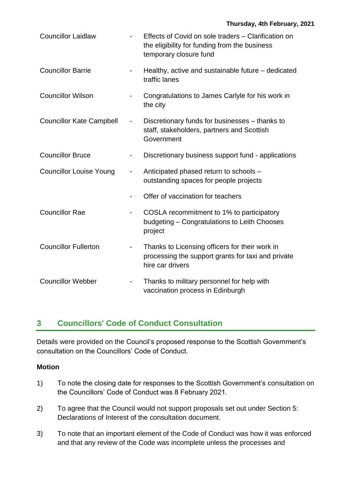| <b>Councillor Laidlaw</b>       |                              | Effects of Covid on sole traders - Clarification on<br>the eligibility for funding from the business<br>temporary closure fund |
|---------------------------------|------------------------------|--------------------------------------------------------------------------------------------------------------------------------|
| <b>Councillor Barrie</b>        |                              | Healthy, active and sustainable future – dedicated<br>traffic lanes                                                            |
| <b>Councillor Wilson</b>        |                              | Congratulations to James Carlyle for his work in<br>the city                                                                   |
| <b>Councillor Kate Campbell</b> | $\overline{\phantom{0}}$     | Discretionary funds for businesses - thanks to<br>staff, stakeholders, partners and Scottish<br>Government                     |
| <b>Councillor Bruce</b>         |                              | Discretionary business support fund - applications                                                                             |
| <b>Councillor Louise Young</b>  |                              | Anticipated phased return to schools -<br>outstanding spaces for people projects                                               |
|                                 |                              | Offer of vaccination for teachers                                                                                              |
| <b>Councillor Rae</b>           | $\qquad \qquad \blacksquare$ | COSLA recommitment to 1% to participatory<br>budgeting - Congratulations to Leith Chooses<br>project                           |
| <b>Councillor Fullerton</b>     | $\overline{\phantom{a}}$     | Thanks to Licensing officers for their work in<br>processing the support grants for taxi and private<br>hire car drivers       |
| <b>Councillor Webber</b>        |                              | Thanks to military personnel for help with<br>vaccination process in Edinburgh                                                 |

# **3 Councillors' Code of Conduct Consultation**

Details were provided on the Council's proposed response to the Scottish Government's consultation on the Councillors' Code of Conduct.

# **Motion**

- 1) To note the closing date for responses to the Scottish Government's consultation on the Councillors' Code of Conduct was 8 February 2021.
- 2) To agree that the Council would not support proposals set out under Section 5: Declarations of Interest of the consultation document.
- 3) To note that an important element of the Code of Conduct was how it was enforced and that any review of the Code was incomplete unless the processes and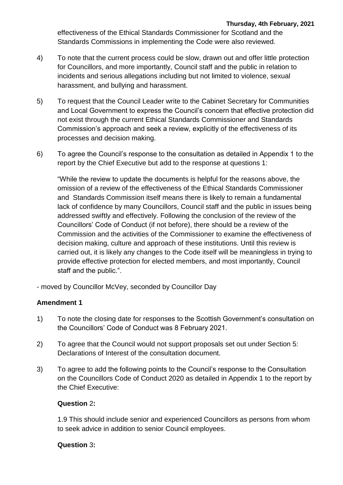effectiveness of the Ethical Standards Commissioner for Scotland and the Standards Commissions in implementing the Code were also reviewed.

- 4) To note that the current process could be slow, drawn out and offer little protection for Councillors, and more importantly, Council staff and the public in relation to incidents and serious allegations including but not limited to violence, sexual harassment, and bullying and harassment.
- 5) To request that the Council Leader write to the Cabinet Secretary for Communities and Local Government to express the Council's concern that effective protection did not exist through the current Ethical Standards Commissioner and Standards Commission's approach and seek a review, explicitly of the effectiveness of its processes and decision making.
- 6) To agree the Council's response to the consultation as detailed in Appendix 1 to the report by the Chief Executive but add to the response at questions 1:

"While the review to update the documents is helpful for the reasons above, the omission of a review of the effectiveness of the Ethical Standards Commissioner and Standards Commission itself means there is likely to remain a fundamental lack of confidence by many Councillors, Council staff and the public in issues being addressed swiftly and effectively. Following the conclusion of the review of the Councillors' Code of Conduct (if not before), there should be a review of the Commission and the activities of the Commissioner to examine the effectiveness of decision making, culture and approach of these institutions. Until this review is carried out, it is likely any changes to the Code itself will be meaningless in trying to provide effective protection for elected members, and most importantly, Council staff and the public.".

- moved by Councillor McVey, seconded by Councillor Day

# **Amendment 1**

- 1) To note the closing date for responses to the Scottish Government's consultation on the Councillors' Code of Conduct was 8 February 2021.
- 2) To agree that the Council would not support proposals set out under Section 5: Declarations of Interest of the consultation document.
- 3) To agree to add the following points to the Council's response to the Consultation on the Councillors Code of Conduct 2020 as detailed in Appendix 1 to the report by the Chief Executive:

# **Question** 2**:**

1.9 This should include senior and experienced Councillors as persons from whom to seek advice in addition to senior Council employees.

# **Question** 3**:**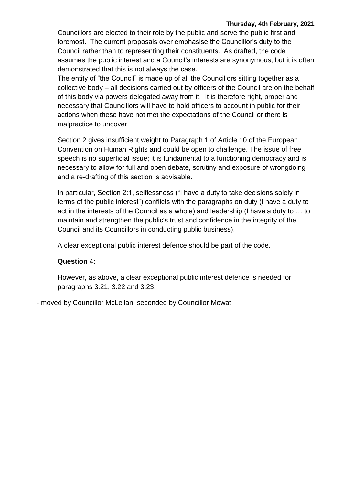Councillors are elected to their role by the public and serve the public first and foremost. The current proposals over emphasise the Councillor's duty to the Council rather than to representing their constituents. As drafted, the code assumes the public interest and a Council's interests are synonymous, but it is often demonstrated that this is not always the case.

The entity of "the Council" is made up of all the Councillors sitting together as a collective body – all decisions carried out by officers of the Council are on the behalf of this body via powers delegated away from it. It is therefore right, proper and necessary that Councillors will have to hold officers to account in public for their actions when these have not met the expectations of the Council or there is malpractice to uncover.

Section 2 gives insufficient weight to Paragraph 1 of Article 10 of the European Convention on Human Rights and could be open to challenge. The issue of free speech is no superficial issue; it is fundamental to a functioning democracy and is necessary to allow for full and open debate, scrutiny and exposure of wrongdoing and a re-drafting of this section is advisable.

In particular, Section 2:1, selflessness ("I have a duty to take decisions solely in terms of the public interest") conflicts with the paragraphs on duty (I have a duty to act in the interests of the Council as a whole) and leadership (I have a duty to … to maintain and strengthen the public's trust and confidence in the integrity of the Council and its Councillors in conducting public business).

A clear exceptional public interest defence should be part of the code.

# **Question** 4**:**

However, as above, a clear exceptional public interest defence is needed for paragraphs 3.21, 3.22 and 3.23.

- moved by Councillor McLellan, seconded by Councillor Mowat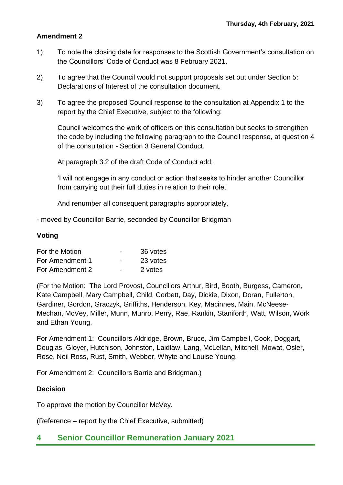# **Amendment 2**

- 1) To note the closing date for responses to the Scottish Government's consultation on the Councillors' Code of Conduct was 8 February 2021.
- 2) To agree that the Council would not support proposals set out under Section 5: Declarations of Interest of the consultation document.
- 3) To agree the proposed Council response to the consultation at Appendix 1 to the report by the Chief Executive, subject to the following:

Council welcomes the work of officers on this consultation but seeks to strengthen the code by including the following paragraph to the Council response, at question 4 of the consultation - Section 3 General Conduct.

At paragraph 3.2 of the draft Code of Conduct add:

'I will not engage in any conduct or action that seeks to hinder another Councillor from carrying out their full duties in relation to their role.'

And renumber all consequent paragraphs appropriately.

- moved by Councillor Barrie, seconded by Councillor Bridgman

### **Voting**

| For the Motion  | $\overline{\phantom{0}}$ | 36 votes |
|-----------------|--------------------------|----------|
| For Amendment 1 | -                        | 23 votes |
| For Amendment 2 | $\overline{\phantom{0}}$ | 2 votes  |

(For the Motion: The Lord Provost, Councillors Arthur, Bird, Booth, Burgess, Cameron, Kate Campbell, Mary Campbell, Child, Corbett, Day, Dickie, Dixon, Doran, Fullerton, Gardiner, Gordon, Graczyk, Griffiths, Henderson, Key, Macinnes, Main, McNeese-Mechan, McVey, Miller, Munn, Munro, Perry, Rae, Rankin, Staniforth, Watt, Wilson, Work and Ethan Young.

For Amendment 1: Councillors Aldridge, Brown, Bruce, Jim Campbell, Cook, Doggart, Douglas, Gloyer, Hutchison, Johnston, Laidlaw, Lang, McLellan, Mitchell, Mowat, Osler, Rose, Neil Ross, Rust, Smith, Webber, Whyte and Louise Young.

For Amendment 2: Councillors Barrie and Bridgman.)

# **Decision**

To approve the motion by Councillor McVey.

(Reference – report by the Chief Executive, submitted)

# **4 Senior Councillor Remuneration January 2021**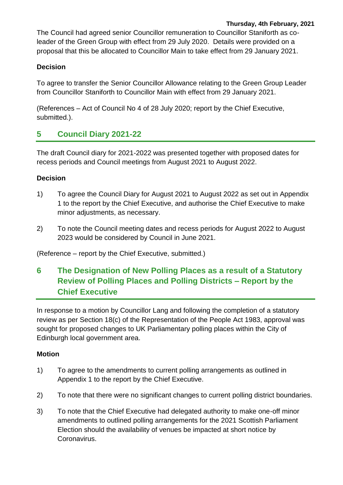The Council had agreed senior Councillor remuneration to Councillor Staniforth as coleader of the Green Group with effect from 29 July 2020. Details were provided on a proposal that this be allocated to Councillor Main to take effect from 29 January 2021.

# **Decision**

To agree to transfer the Senior Councillor Allowance relating to the Green Group Leader from Councillor Staniforth to Councillor Main with effect from 29 January 2021.

(References – Act of Council No 4 of 28 July 2020; report by the Chief Executive, submitted.).

# **5 Council Diary 2021-22**

The draft Council diary for 2021-2022 was presented together with proposed dates for recess periods and Council meetings from August 2021 to August 2022.

# **Decision**

- 1) To agree the Council Diary for August 2021 to August 2022 as set out in Appendix 1 to the report by the Chief Executive, and authorise the Chief Executive to make minor adjustments, as necessary.
- 2) To note the Council meeting dates and recess periods for August 2022 to August 2023 would be considered by Council in June 2021.

(Reference – report by the Chief Executive, submitted.)

**6 The Designation of New Polling Places as a result of a Statutory Review of Polling Places and Polling Districts – Report by the Chief Executive**

In response to a motion by Councillor Lang and following the completion of a statutory review as per Section 18(c) of the Representation of the People Act 1983, approval was sought for proposed changes to UK Parliamentary polling places within the City of Edinburgh local government area.

# **Motion**

- 1) To agree to the amendments to current polling arrangements as outlined in Appendix 1 to the report by the Chief Executive.
- 2) To note that there were no significant changes to current polling district boundaries.
- 3) To note that the Chief Executive had delegated authority to make one-off minor amendments to outlined polling arrangements for the 2021 Scottish Parliament Election should the availability of venues be impacted at short notice by **Coronavirus**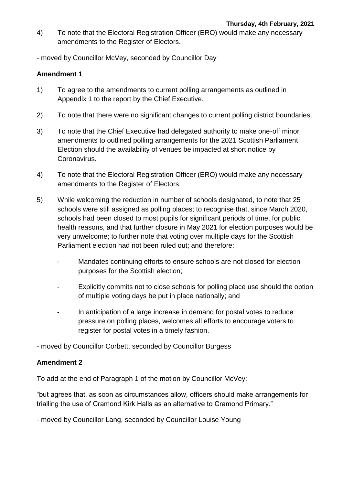- 4) To note that the Electoral Registration Officer (ERO) would make any necessary amendments to the Register of Electors.
- moved by Councillor McVey, seconded by Councillor Day

# **Amendment 1**

- 1) To agree to the amendments to current polling arrangements as outlined in Appendix 1 to the report by the Chief Executive.
- 2) To note that there were no significant changes to current polling district boundaries.
- 3) To note that the Chief Executive had delegated authority to make one-off minor amendments to outlined polling arrangements for the 2021 Scottish Parliament Election should the availability of venues be impacted at short notice by Coronavirus.
- 4) To note that the Electoral Registration Officer (ERO) would make any necessary amendments to the Register of Electors.
- 5) While welcoming the reduction in number of schools designated, to note that 25 schools were still assigned as polling places; to recognise that, since March 2020, schools had been closed to most pupils for significant periods of time, for public health reasons, and that further closure in May 2021 for election purposes would be very unwelcome; to further note that voting over multiple days for the Scottish Parliament election had not been ruled out; and therefore:
	- Mandates continuing efforts to ensure schools are not closed for election purposes for the Scottish election;
	- Explicitly commits not to close schools for polling place use should the option of multiple voting days be put in place nationally; and
	- In anticipation of a large increase in demand for postal votes to reduce pressure on polling places, welcomes all efforts to encourage voters to register for postal votes in a timely fashion.

- moved by Councillor Corbett, seconded by Councillor Burgess

# **Amendment 2**

To add at the end of Paragraph 1 of the motion by Councillor McVey:

"but agrees that, as soon as circumstances allow, officers should make arrangements for trialling the use of Cramond Kirk Halls as an alternative to Cramond Primary."

- moved by Councillor Lang, seconded by Councillor Louise Young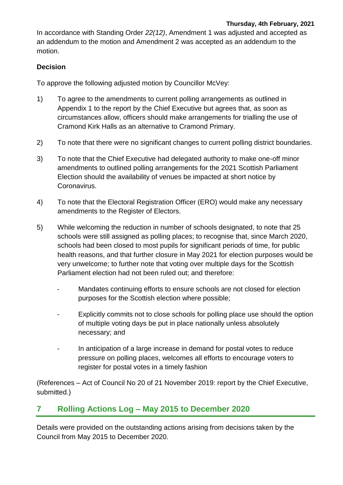In accordance with Standing Order *22(12)*, Amendment 1 was adjusted and accepted as an addendum to the motion and Amendment 2 was accepted as an addendum to the motion.

# **Decision**

To approve the following adjusted motion by Councillor McVey:

- 1) To agree to the amendments to current polling arrangements as outlined in Appendix 1 to the report by the Chief Executive but agrees that, as soon as circumstances allow, officers should make arrangements for trialling the use of Cramond Kirk Halls as an alternative to Cramond Primary.
- 2) To note that there were no significant changes to current polling district boundaries.
- 3) To note that the Chief Executive had delegated authority to make one-off minor amendments to outlined polling arrangements for the 2021 Scottish Parliament Election should the availability of venues be impacted at short notice by Coronavirus.
- 4) To note that the Electoral Registration Officer (ERO) would make any necessary amendments to the Register of Electors.
- 5) While welcoming the reduction in number of schools designated, to note that 25 schools were still assigned as polling places; to recognise that, since March 2020, schools had been closed to most pupils for significant periods of time, for public health reasons, and that further closure in May 2021 for election purposes would be very unwelcome; to further note that voting over multiple days for the Scottish Parliament election had not been ruled out; and therefore:
	- Mandates continuing efforts to ensure schools are not closed for election purposes for the Scottish election where possible;
	- Explicitly commits not to close schools for polling place use should the option of multiple voting days be put in place nationally unless absolutely necessary; and
	- In anticipation of a large increase in demand for postal votes to reduce pressure on polling places, welcomes all efforts to encourage voters to register for postal votes in a timely fashion

(References – Act of Council No 20 of 21 November 2019: report by the Chief Executive, submitted.)

# **7 Rolling Actions Log – May 2015 to December 2020**

Details were provided on the outstanding actions arising from decisions taken by the Council from May 2015 to December 2020.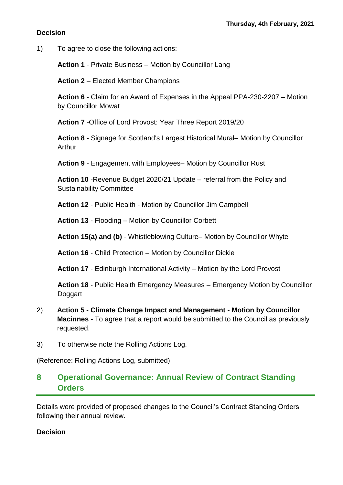## **Decision**

1) To agree to close the following actions:

**Action 1** - Private Business – Motion by Councillor Lang

**Action 2** – Elected Member Champions

**Action 6** - Claim for an Award of Expenses in the Appeal PPA-230-2207 – Motion by Councillor Mowat

**Action 7** -Office of Lord Provost: Year Three Report 2019/20

**Action 8** - Signage for Scotland's Largest Historical Mural– Motion by Councillor Arthur

**Action 9** - Engagement with Employees– Motion by Councillor Rust

**Action 10** -Revenue Budget 2020/21 Update – referral from the Policy and Sustainability Committee

**Action 12** - Public Health - Motion by Councillor Jim Campbell

**Action 13** - Flooding – Motion by Councillor Corbett

**Action 15(a) and (b)** - Whistleblowing Culture– Motion by Councillor Whyte

**Action 16** - Child Protection – Motion by Councillor Dickie

**Action 17** - Edinburgh International Activity – Motion by the Lord Provost

**Action 18** - Public Health Emergency Measures – Emergency Motion by Councillor Doggart

- 2) **Action 5 - Climate Change Impact and Management - Motion by Councillor Macinnes -** To agree that a report would be submitted to the Council as previously requested.
- 3) To otherwise note the Rolling Actions Log.

(Reference: Rolling Actions Log, submitted)

# **8 Operational Governance: Annual Review of Contract Standing Orders**

Details were provided of proposed changes to the Council's Contract Standing Orders following their annual review.

### **Decision**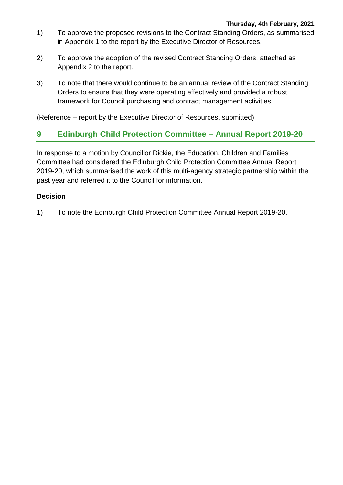- 1) To approve the proposed revisions to the Contract Standing Orders, as summarised in Appendix 1 to the report by the Executive Director of Resources.
- 2) To approve the adoption of the revised Contract Standing Orders, attached as Appendix 2 to the report.
- 3) To note that there would continue to be an annual review of the Contract Standing Orders to ensure that they were operating effectively and provided a robust framework for Council purchasing and contract management activities

(Reference – report by the Executive Director of Resources, submitted)

# **9 Edinburgh Child Protection Committee – Annual Report 2019-20**

In response to a motion by Councillor Dickie, the Education, Children and Families Committee had considered the Edinburgh Child Protection Committee Annual Report 2019-20, which summarised the work of this multi-agency strategic partnership within the past year and referred it to the Council for information.

# **Decision**

1) To note the Edinburgh Child Protection Committee Annual Report 2019-20.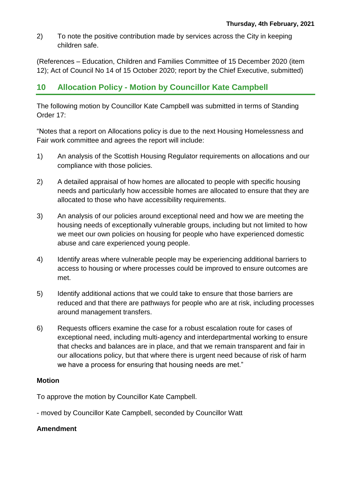2) To note the positive contribution made by services across the City in keeping children safe.

(References – Education, Children and Families Committee of 15 December 2020 (item 12); Act of Council No 14 of 15 October 2020; report by the Chief Executive, submitted)

# **10 Allocation Policy - Motion by Councillor Kate Campbell**

The following motion by Councillor Kate Campbell was submitted in terms of Standing Order 17:

"Notes that a report on Allocations policy is due to the next Housing Homelessness and Fair work committee and agrees the report will include:

- 1) An analysis of the Scottish Housing Regulator requirements on allocations and our compliance with those policies.
- 2) A detailed appraisal of how homes are allocated to people with specific housing needs and particularly how accessible homes are allocated to ensure that they are allocated to those who have accessibility requirements.
- 3) An analysis of our policies around exceptional need and how we are meeting the housing needs of exceptionally vulnerable groups, including but not limited to how we meet our own policies on housing for people who have experienced domestic abuse and care experienced young people.
- 4) Identify areas where vulnerable people may be experiencing additional barriers to access to housing or where processes could be improved to ensure outcomes are met.
- 5) Identify additional actions that we could take to ensure that those barriers are reduced and that there are pathways for people who are at risk, including processes around management transfers.
- 6) Requests officers examine the case for a robust escalation route for cases of exceptional need, including multi-agency and interdepartmental working to ensure that checks and balances are in place, and that we remain transparent and fair in our allocations policy, but that where there is urgent need because of risk of harm we have a process for ensuring that housing needs are met."

# **Motion**

To approve the motion by Councillor Kate Campbell.

- moved by Councillor Kate Campbell, seconded by Councillor Watt

# **Amendment**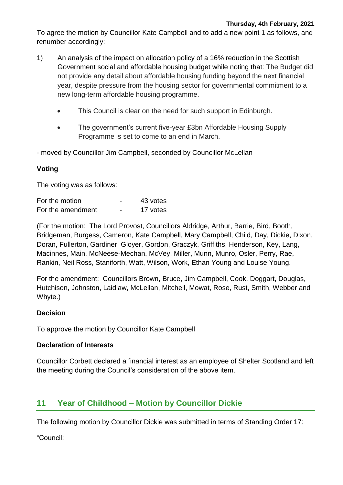To agree the motion by Councillor Kate Campbell and to add a new point 1 as follows, and renumber accordingly:

- 1) An analysis of the impact on allocation policy of a 16% reduction in the Scottish Government social and affordable housing budget while noting that: The Budget did not provide any detail about affordable housing funding beyond the next financial year, despite pressure from the housing sector for governmental commitment to a new long-term affordable housing programme.
	- This Council is clear on the need for such support in Edinburgh.
	- The government's current five-year £3bn Affordable Housing Supply Programme is set to come to an end in March.
- moved by Councillor Jim Campbell, seconded by Councillor McLellan

# **Voting**

The voting was as follows:

| For the motion    |                          | 43 votes |
|-------------------|--------------------------|----------|
| For the amendment | $\overline{\phantom{0}}$ | 17 votes |

(For the motion: The Lord Provost, Councillors Aldridge, Arthur, Barrie, Bird, Booth, Bridgeman, Burgess, Cameron, Kate Campbell, Mary Campbell, Child, Day, Dickie, Dixon, Doran, Fullerton, Gardiner, Gloyer, Gordon, Graczyk, Griffiths, Henderson, Key, Lang, Macinnes, Main, McNeese-Mechan, McVey, Miller, Munn, Munro, Osler, Perry, Rae, Rankin, Neil Ross, Staniforth, Watt, Wilson, Work, Ethan Young and Louise Young.

For the amendment: Councillors Brown, Bruce, Jim Campbell, Cook, Doggart, Douglas, Hutchison, Johnston, Laidlaw, McLellan, Mitchell, Mowat, Rose, Rust, Smith, Webber and Whyte.)

# **Decision**

To approve the motion by Councillor Kate Campbell

# **Declaration of Interests**

Councillor Corbett declared a financial interest as an employee of Shelter Scotland and left the meeting during the Council's consideration of the above item.

# **11 Year of Childhood – Motion by Councillor Dickie**

The following motion by Councillor Dickie was submitted in terms of Standing Order 17:

"Council: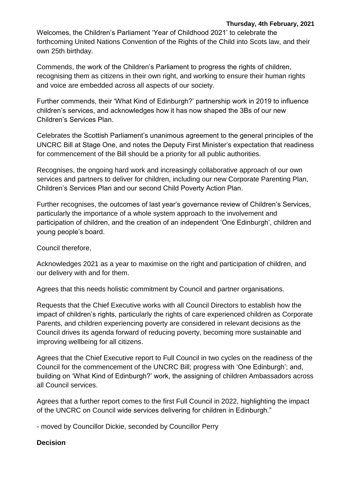Welcomes, the Children's Parliament 'Year of Childhood 2021' to celebrate the forthcoming United Nations Convention of the Rights of the Child into Scots law, and their own 25th birthday.

Commends, the work of the Children's Parliament to progress the rights of children, recognising them as citizens in their own right, and working to ensure their human rights and voice are embedded across all aspects of our society.

Further commends, their 'What Kind of Edinburgh?' partnership work in 2019 to influence children's services, and acknowledges how it has now shaped the 3Bs of our new Children's Services Plan.

Celebrates the Scottish Parliament's unanimous agreement to the general principles of the UNCRC Bill at Stage One, and notes the Deputy First Minister's expectation that readiness for commencement of the Bill should be a priority for all public authorities.

Recognises, the ongoing hard work and increasingly collaborative approach of our own services and partners to deliver for children, including our new Corporate Parenting Plan, Children's Services Plan and our second Child Poverty Action Plan.

Further recognises, the outcomes of last year's governance review of Children's Services, particularly the importance of a whole system approach to the involvement and participation of children, and the creation of an independent 'One Edinburgh', children and young people's board.

#### Council therefore,

Acknowledges 2021 as a year to maximise on the right and participation of children, and our delivery with and for them.

Agrees that this needs holistic commitment by Council and partner organisations.

Requests that the Chief Executive works with all Council Directors to establish how the impact of children's rights, particularly the rights of care experienced children as Corporate Parents, and children experiencing poverty are considered in relevant decisions as the Council drives its agenda forward of reducing poverty, becoming more sustainable and improving wellbeing for all citizens.

Agrees that the Chief Executive report to Full Council in two cycles on the readiness of the Council for the commencement of the UNCRC Bill; progress with 'One Edinburgh'; and, building on 'What Kind of Edinburgh?' work, the assigning of children Ambassadors across all Council services.

Agrees that a further report comes to the first Full Council in 2022, highlighting the impact of the UNCRC on Council wide services delivering for children in Edinburgh."

- moved by Councillor Dickie, seconded by Councillor Perry

# **Decision**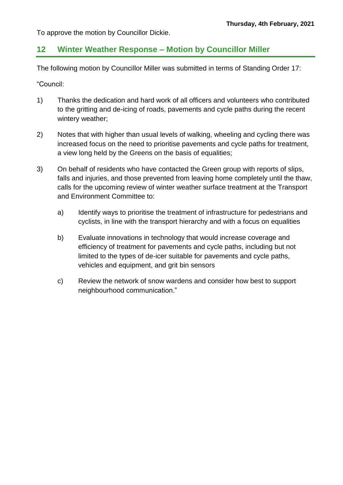To approve the motion by Councillor Dickie.

# **12 Winter Weather Response – Motion by Councillor Miller**

The following motion by Councillor Miller was submitted in terms of Standing Order 17:

"Council:

- 1) Thanks the dedication and hard work of all officers and volunteers who contributed to the gritting and de-icing of roads, pavements and cycle paths during the recent wintery weather;
- 2) Notes that with higher than usual levels of walking, wheeling and cycling there was increased focus on the need to prioritise pavements and cycle paths for treatment, a view long held by the Greens on the basis of equalities;
- 3) On behalf of residents who have contacted the Green group with reports of slips, falls and injuries, and those prevented from leaving home completely until the thaw, calls for the upcoming review of winter weather surface treatment at the Transport and Environment Committee to:
	- a) Identify ways to prioritise the treatment of infrastructure for pedestrians and cyclists, in line with the transport hierarchy and with a focus on equalities
	- b) Evaluate innovations in technology that would increase coverage and efficiency of treatment for pavements and cycle paths, including but not limited to the types of de-icer suitable for pavements and cycle paths, vehicles and equipment, and grit bin sensors
	- c) Review the network of snow wardens and consider how best to support neighbourhood communication."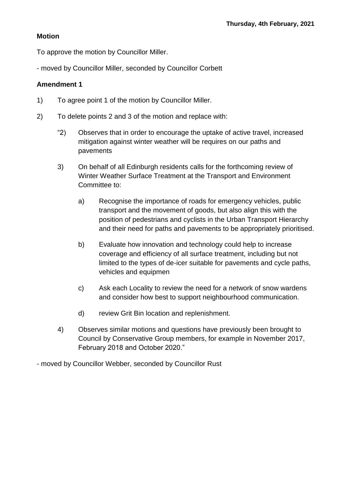## **Motion**

To approve the motion by Councillor Miller.

- moved by Councillor Miller, seconded by Councillor Corbett

### **Amendment 1**

- 1) To agree point 1 of the motion by Councillor Miller.
- 2) To delete points 2 and 3 of the motion and replace with:
	- "2) Observes that in order to encourage the uptake of active travel, increased mitigation against winter weather will be requires on our paths and pavements
	- 3) On behalf of all Edinburgh residents calls for the forthcoming review of Winter Weather Surface Treatment at the Transport and Environment Committee to:
		- a) Recognise the importance of roads for emergency vehicles, public transport and the movement of goods, but also align this with the position of pedestrians and cyclists in the Urban Transport Hierarchy and their need for paths and pavements to be appropriately prioritised.
		- b) Evaluate how innovation and technology could help to increase coverage and efficiency of all surface treatment, including but not limited to the types of de-icer suitable for pavements and cycle paths, vehicles and equipmen
		- c) Ask each Locality to review the need for a network of snow wardens and consider how best to support neighbourhood communication.
		- d) review Grit Bin location and replenishment.
	- 4) Observes similar motions and questions have previously been brought to Council by Conservative Group members, for example in November 2017, February 2018 and October 2020."

- moved by Councillor Webber, seconded by Councillor Rust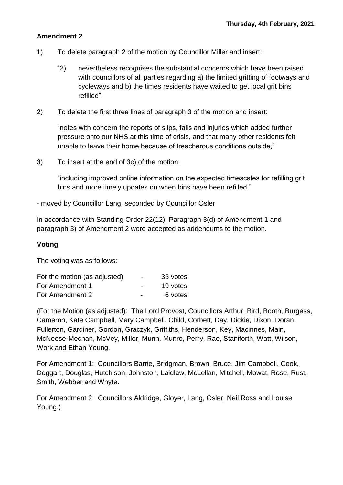# **Amendment 2**

- 1) To delete paragraph 2 of the motion by Councillor Miller and insert:
	- "2) nevertheless recognises the substantial concerns which have been raised with councillors of all parties regarding a) the limited gritting of footways and cycleways and b) the times residents have waited to get local grit bins refilled".
- 2) To delete the first three lines of paragraph 3 of the motion and insert:

"notes with concern the reports of slips, falls and injuries which added further pressure onto our NHS at this time of crisis, and that many other residents felt unable to leave their home because of treacherous conditions outside,"

3) To insert at the end of 3c) of the motion:

"including improved online information on the expected timescales for refilling grit bins and more timely updates on when bins have been refilled."

- moved by Councillor Lang, seconded by Councillor Osler

In accordance with Standing Order 22(12), Paragraph 3(d) of Amendment 1 and paragraph 3) of Amendment 2 were accepted as addendums to the motion.

# **Voting**

The voting was as follows:

| For the motion (as adjusted) | $\overline{\phantom{0}}$ | 35 votes |
|------------------------------|--------------------------|----------|
| For Amendment 1              | $\overline{\phantom{0}}$ | 19 votes |
| For Amendment 2              | $\overline{\phantom{0}}$ | 6 votes  |

(For the Motion (as adjusted): The Lord Provost, Councillors Arthur, Bird, Booth, Burgess, Cameron, Kate Campbell, Mary Campbell, Child, Corbett, Day, Dickie, Dixon, Doran, Fullerton, Gardiner, Gordon, Graczyk, Griffiths, Henderson, Key, Macinnes, Main, McNeese-Mechan, McVey, Miller, Munn, Munro, Perry, Rae, Staniforth, Watt, Wilson, Work and Ethan Young.

For Amendment 1: Councillors Barrie, Bridgman, Brown, Bruce, Jim Campbell, Cook, Doggart, Douglas, Hutchison, Johnston, Laidlaw, McLellan, Mitchell, Mowat, Rose, Rust, Smith, Webber and Whyte.

For Amendment 2: Councillors Aldridge, Gloyer, Lang, Osler, Neil Ross and Louise Young.)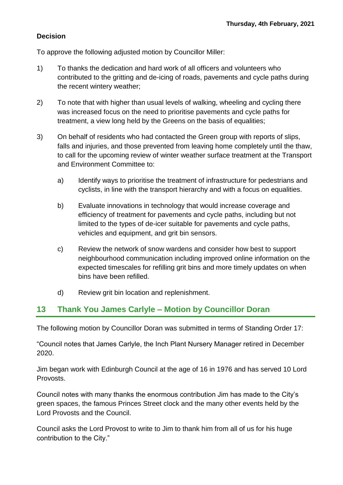# **Decision**

To approve the following adjusted motion by Councillor Miller:

- 1) To thanks the dedication and hard work of all officers and volunteers who contributed to the gritting and de-icing of roads, pavements and cycle paths during the recent wintery weather;
- 2) To note that with higher than usual levels of walking, wheeling and cycling there was increased focus on the need to prioritise pavements and cycle paths for treatment, a view long held by the Greens on the basis of equalities;
- 3) On behalf of residents who had contacted the Green group with reports of slips, falls and injuries, and those prevented from leaving home completely until the thaw, to call for the upcoming review of winter weather surface treatment at the Transport and Environment Committee to:
	- a) Identify ways to prioritise the treatment of infrastructure for pedestrians and cyclists, in line with the transport hierarchy and with a focus on equalities.
	- b) Evaluate innovations in technology that would increase coverage and efficiency of treatment for pavements and cycle paths, including but not limited to the types of de-icer suitable for pavements and cycle paths, vehicles and equipment, and grit bin sensors.
	- c) Review the network of snow wardens and consider how best to support neighbourhood communication including improved online information on the expected timescales for refilling grit bins and more timely updates on when bins have been refilled.
	- d) Review grit bin location and replenishment.

# **13 Thank You James Carlyle – Motion by Councillor Doran**

The following motion by Councillor Doran was submitted in terms of Standing Order 17:

"Council notes that James Carlyle, the Inch Plant Nursery Manager retired in December 2020.

Jim began work with Edinburgh Council at the age of 16 in 1976 and has served 10 Lord Provosts.

Council notes with many thanks the enormous contribution Jim has made to the City's green spaces, the famous Princes Street clock and the many other events held by the Lord Provosts and the Council.

Council asks the Lord Provost to write to Jim to thank him from all of us for his huge contribution to the City."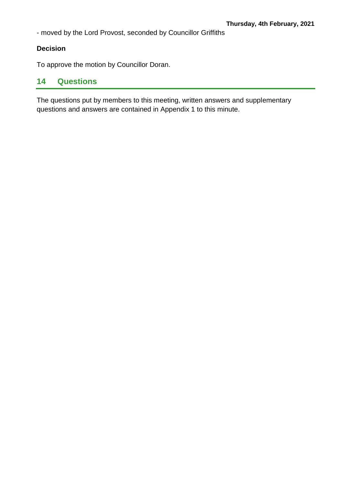- moved by the Lord Provost, seconded by Councillor Griffiths

# **Decision**

To approve the motion by Councillor Doran.

# **14 Questions**

The questions put by members to this meeting, written answers and supplementary questions and answers are contained in Appendix 1 to this minute.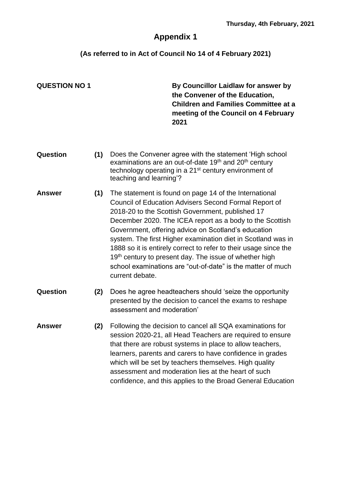# **Appendix 1**

**(As referred to in Act of Council No 14 of 4 February 2021)**

**QUESTION NO 1 By Councillor Laidlaw for answer by the Convener of the Education, Children and Families Committee at a meeting of the Council on 4 February 2021 Question (1)** Does the Convener agree with the statement 'High school examinations are an out-of-date 19<sup>th</sup> and 20<sup>th</sup> century technology operating in a 21<sup>st</sup> century environment of teaching and learning'? **Answer (1)** The statement is found on page 14 of the International Council of Education Advisers Second Formal Report of 2018-20 to the Scottish Government, published 17 December 2020. The ICEA report as a body to the Scottish Government, offering advice on Scotland's education system. The first Higher examination diet in Scotland was in 1888 so it is entirely correct to refer to their usage since the 19<sup>th</sup> century to present day. The issue of whether high school examinations are "out-of-date" is the matter of much current debate. **Question (2)** Does he agree headteachers should 'seize the opportunity presented by the decision to cancel the exams to reshape assessment and moderation' **Answer (2)** Following the decision to cancel all SQA examinations for session 2020-21, all Head Teachers are required to ensure that there are robust systems in place to allow teachers, learners, parents and carers to have confidence in grades which will be set by teachers themselves. High quality assessment and moderation lies at the heart of such confidence, and this applies to the Broad General Education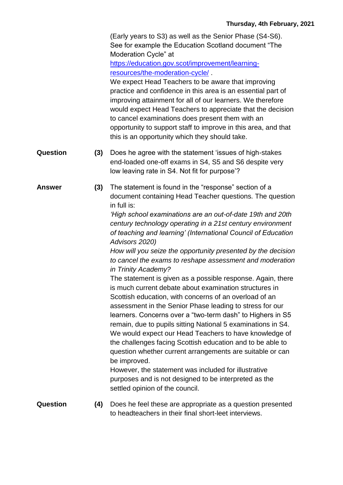(Early years to S3) as well as the Senior Phase (S4-S6). See for example the Education Scotland document "The Moderation Cycle" at

[https://education.gov.scot/improvement/learning](https://education.gov.scot/improvement/learning-resources/the-moderation-cycle/)[resources/the-moderation-cycle/](https://education.gov.scot/improvement/learning-resources/the-moderation-cycle/) .

We expect Head Teachers to be aware that improving practice and confidence in this area is an essential part of improving attainment for all of our learners. We therefore would expect Head Teachers to appreciate that the decision to cancel examinations does present them with an opportunity to support staff to improve in this area, and that this is an opportunity which they should take.

- **Question (3)** Does he agree with the statement 'issues of high-stakes end-loaded one-off exams in S4, S5 and S6 despite very low leaving rate in S4. Not fit for purpose'?
- **Answer (3)** The statement is found in the "response" section of a document containing Head Teacher questions. The question in full is:

*'High school examinations are an out-of-date 19th and 20th century technology operating in a 21st century environment of teaching and learning' (International Council of Education Advisors 2020)*

*How will you seize the opportunity presented by the decision to cancel the exams to reshape assessment and moderation in Trinity Academy?*

The statement is given as a possible response. Again, there is much current debate about examination structures in Scottish education, with concerns of an overload of an assessment in the Senior Phase leading to stress for our learners. Concerns over a "two-term dash" to Highers in S5 remain, due to pupils sitting National 5 examinations in S4. We would expect our Head Teachers to have knowledge of the challenges facing Scottish education and to be able to question whether current arrangements are suitable or can be improved.

However, the statement was included for illustrative purposes and is not designed to be interpreted as the settled opinion of the council.

**Question (4)** Does he feel these are appropriate as a question presented to headteachers in their final short-leet interviews.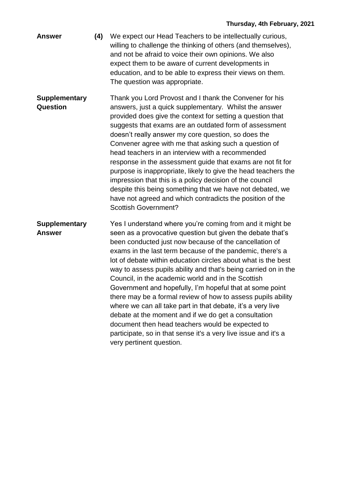- **Answer (4)** We expect our Head Teachers to be intellectually curious, willing to challenge the thinking of others (and themselves), and not be afraid to voice their own opinions. We also expect them to be aware of current developments in education, and to be able to express their views on them. The question was appropriate.
- **Supplementary Question** Thank you Lord Provost and I thank the Convener for his answers, just a quick supplementary. Whilst the answer provided does give the context for setting a question that suggests that exams are an outdated form of assessment doesn't really answer my core question, so does the Convener agree with me that asking such a question of head teachers in an interview with a recommended response in the assessment guide that exams are not fit for purpose is inappropriate, likely to give the head teachers the impression that this is a policy decision of the council despite this being something that we have not debated, we have not agreed and which contradicts the position of the Scottish Government?
- **Supplementary Answer** Yes I understand where you're coming from and it might be seen as a provocative question but given the debate that's been conducted just now because of the cancellation of exams in the last term because of the pandemic, there's a lot of debate within education circles about what is the best way to assess pupils ability and that's being carried on in the Council, in the academic world and in the Scottish Government and hopefully, I'm hopeful that at some point there may be a formal review of how to assess pupils ability where we can all take part in that debate, it's a very live debate at the moment and if we do get a consultation document then head teachers would be expected to participate, so in that sense it's a very live issue and it's a very pertinent question.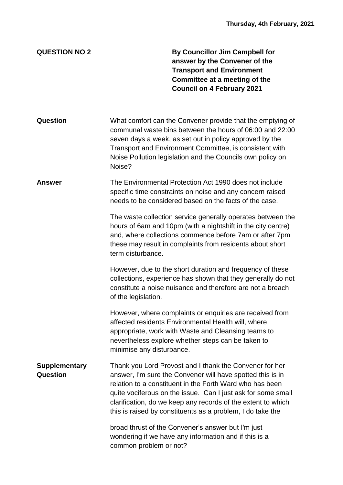# **QUESTION NO 2 By Councillor Jim Campbell for answer by the Convener of the Transport and Environment Committee at a meeting of the Council on 4 February 2021 Question** What comfort can the Convener provide that the emptying of communal waste bins between the hours of 06:00 and 22:00 seven days a week, as set out in policy approved by the Transport and Environment Committee, is consistent with Noise Pollution legislation and the Councils own policy on Noise? **Answer** The Environmental Protection Act 1990 does not include specific time constraints on noise and any concern raised needs to be considered based on the facts of the case. The waste collection service generally operates between the hours of 6am and 10pm (with a nightshift in the city centre) and, where collections commence before 7am or after 7pm these may result in complaints from residents about short term disturbance. However, due to the short duration and frequency of these collections, experience has shown that they generally do not constitute a noise nuisance and therefore are not a breach of the legislation. However, where complaints or enquiries are received from affected residents Environmental Health will, where appropriate, work with Waste and Cleansing teams to nevertheless explore whether steps can be taken to minimise any disturbance. **Supplementary Question** Thank you Lord Provost and I thank the Convener for her answer, I'm sure the Convener will have spotted this is in relation to a constituent in the Forth Ward who has been quite vociferous on the issue. Can I just ask for some small clarification, do we keep any records of the extent to which this is raised by constituents as a problem, I do take the broad thrust of the Convener's answer but I'm just wondering if we have any information and if this is a common problem or not?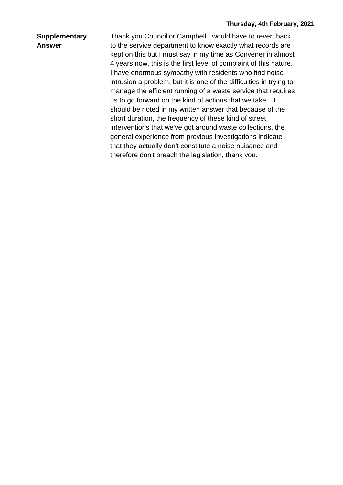### **Supplementary Answer**

Thank you Councillor Campbell I would have to revert back to the service department to know exactly what records are kept on this but I must say in my time as Convener in almost 4 years now, this is the first level of complaint of this nature. I have enormous sympathy with residents who find noise intrusion a problem, but it is one of the difficulties in trying to manage the efficient running of a waste service that requires us to go forward on the kind of actions that we take. It should be noted in my written answer that because of the short duration, the frequency of these kind of street interventions that we've got around waste collections, the general experience from previous investigations indicate that they actually don't constitute a noise nuisance and therefore don't breach the legislation, thank you.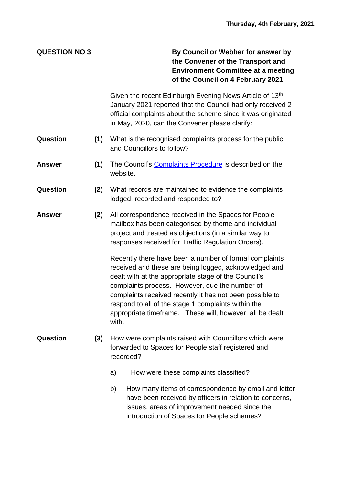**QUESTION NO 3 By Councillor Webber for answer by the Convener of the Transport and Environment Committee at a meeting of the Council on 4 February 2021**

> Given the recent Edinburgh Evening News Article of 13<sup>th</sup> January 2021 reported that the Council had only received 2 official complaints about the scheme since it was originated in May, 2020, can the Convener please clarify:

- **Question (1)** What is the recognised complaints process for the public and Councillors to follow?
- **Answer (1)** The Council's [Complaints Procedure](https://www.edinburgh.gov.uk/downloads/file/22145/complaints-procedure-for-customer) is described on the website.
- **Question (2)** What records are maintained to evidence the complaints lodged, recorded and responded to?
- **Answer (2)** All correspondence received in the Spaces for People mailbox has been categorised by theme and individual project and treated as objections (in a similar way to responses received for Traffic Regulation Orders).

Recently there have been a number of formal complaints received and these are being logged, acknowledged and dealt with at the appropriate stage of the Council's complaints process. However, due the number of complaints received recently it has not been possible to respond to all of the stage 1 complaints within the appropriate timeframe. These will, however, all be dealt with.

- **Question (3)** How were complaints raised with Councillors which were forwarded to Spaces for People staff registered and recorded?
	- a) How were these complaints classified?
	- b) How many items of correspondence by email and letter have been received by officers in relation to concerns, issues, areas of improvement needed since the introduction of Spaces for People schemes?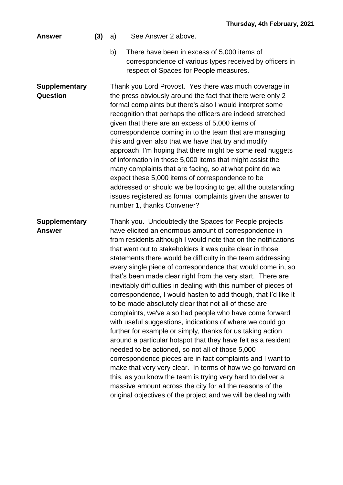#### **Answer (3)** a) See Answer 2 above.

b) There have been in excess of 5,000 items of correspondence of various types received by officers in respect of Spaces for People measures.

**Supplementary Question** Thank you Lord Provost. Yes there was much coverage in the press obviously around the fact that there were only 2 formal complaints but there's also I would interpret some recognition that perhaps the officers are indeed stretched given that there are an excess of 5,000 items of correspondence coming in to the team that are managing this and given also that we have that try and modify approach, I'm hoping that there might be some real nuggets of information in those 5,000 items that might assist the many complaints that are facing, so at what point do we expect these 5,000 items of correspondence to be addressed or should we be looking to get all the outstanding issues registered as formal complaints given the answer to number 1, thanks Convener?

### **Supplementary Answer** Thank you. Undoubtedly the Spaces for People projects have elicited an enormous amount of correspondence in from residents although I would note that on the notifications that went out to stakeholders it was quite clear in those statements there would be difficulty in the team addressing every single piece of correspondence that would come in, so that's been made clear right from the very start. There are inevitably difficulties in dealing with this number of pieces of correspondence, I would hasten to add though, that I'd like it to be made absolutely clear that not all of these are complaints, we've also had people who have come forward with useful suggestions, indications of where we could go further for example or simply, thanks for us taking action around a particular hotspot that they have felt as a resident needed to be actioned, so not all of those 5,000 correspondence pieces are in fact complaints and I want to make that very very clear. In terms of how we go forward on this, as you know the team is trying very hard to deliver a massive amount across the city for all the reasons of the original objectives of the project and we will be dealing with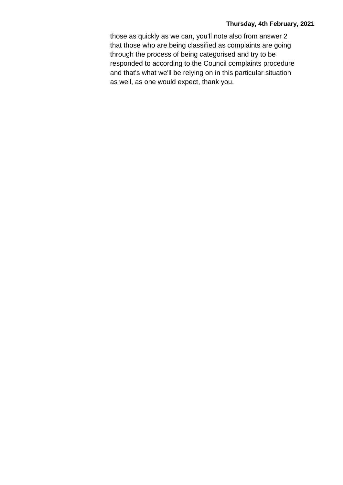those as quickly as we can, you'll note also from answer 2 that those who are being classified as complaints are going through the process of being categorised and try to be responded to according to the Council complaints procedure and that's what we'll be relying on in this particular situation as well, as one would expect, thank you.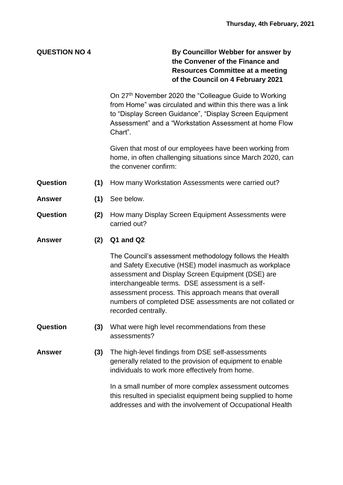**QUESTION NO 4 By Councillor Webber for answer by the Convener of the Finance and Resources Committee at a meeting of the Council on 4 February 2021**

> On 27th November 2020 the "Colleague Guide to Working from Home" was circulated and within this there was a link to "Display Screen Guidance", "Display Screen Equipment Assessment" and a "Workstation Assessment at home Flow Chart".

> Given that most of our employees have been working from home, in often challenging situations since March 2020, can the convener confirm:

- **Question (1)** How many Workstation Assessments were carried out?
- **Answer (1)** See below.
- **Question (2)** How many Display Screen Equipment Assessments were carried out?

**Answer (2) Q1 and Q2**

The Council's assessment methodology follows the Health and Safety Executive (HSE) model inasmuch as workplace assessment and Display Screen Equipment (DSE) are interchangeable terms. DSE assessment is a selfassessment process. This approach means that overall numbers of completed DSE assessments are not collated or recorded centrally.

- **Question (3)** What were high level recommendations from these assessments?
- **Answer (3)** The high-level findings from DSE self-assessments generally related to the provision of equipment to enable individuals to work more effectively from home.

In a small number of more complex assessment outcomes this resulted in specialist equipment being supplied to home addresses and with the involvement of Occupational Health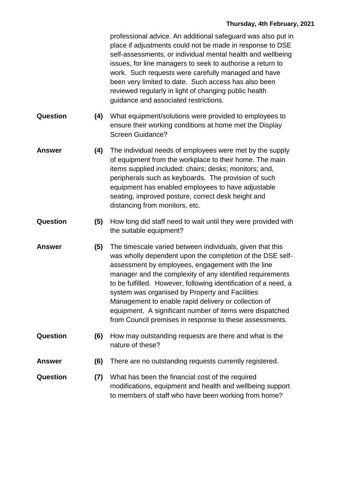professional advice. An additional safeguard was also put in place if adjustments could not be made in response to DSE self-assessments, or individual mental health and wellbeing issues, for line managers to seek to authorise a return to work. Such requests were carefully managed and have been very limited to date. Such access has also been reviewed regularly in light of changing public health guidance and associated restrictions.

- **Question (4)** What equipment/solutions were provided to employees to ensure their working conditions at home met the Display Screen Guidance?
- **Answer (4)** The individual needs of employees were met by the supply of equipment from the workplace to their home. The main items supplied included: chairs; desks; monitors; and, peripherals such as keyboards. The provision of such equipment has enabled employees to have adjustable seating, improved posture, correct desk height and distancing from monitors, etc.
- **Question (5)** How long did staff need to wait until they were provided with the suitable equipment?
- **Answer (5)** The timescale varied between individuals, given that this was wholly dependent upon the completion of the DSE selfassessment by employees, engagement with the line manager and the complexity of any identified requirements to be fulfilled. However, following identification of a need, a system was organised by Property and Facilities Management to enable rapid delivery or collection of equipment. A significant number of items were dispatched from Council premises in response to these assessments.
- **Question (6)** How may outstanding requests are there and what is the nature of these?
- **Answer (6)** There are no outstanding requests currently registered.
- **Question (7)** What has been the financial cost of the required modifications, equipment and health and wellbeing support to members of staff who have been working from home?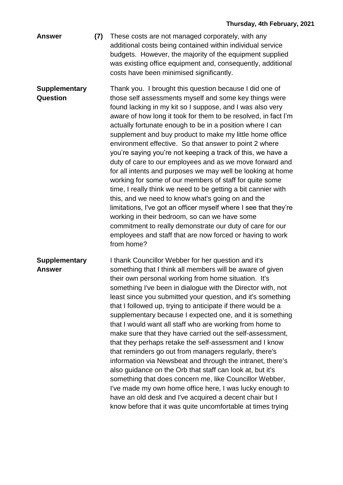**Answer (7)** These costs are not managed corporately, with any additional costs being contained within individual service budgets. However, the majority of the equipment supplied was existing office equipment and, consequently, additional costs have been minimised significantly.

**Supplementary Question** Thank you. I brought this question because I did one of those self assessments myself and some key things were found lacking in my kit so I suppose, and I was also very aware of how long it took for them to be resolved, in fact I'm actually fortunate enough to be in a position where I can supplement and buy product to make my little home office environment effective. So that answer to point 2 where you're saying you're not keeping a track of this, we have a duty of care to our employees and as we move forward and for all intents and purposes we may well be looking at home working for some of our members of staff for quite some time, I really think we need to be getting a bit cannier with this, and we need to know what's going on and the limitations, I've got an officer myself where I see that they're working in their bedroom, so can we have some commitment to really demonstrate our duty of care for our employees and staff that are now forced or having to work from home?

**Supplementary Answer** I thank Councillor Webber for her question and it's something that I think all members will be aware of given their own personal working from home situation. It's something I've been in dialogue with the Director with, not least since you submitted your question, and it's something that I followed up, trying to anticipate if there would be a supplementary because I expected one, and it is something that I would want all staff who are working from home to make sure that they have carried out the self-assessment, that they perhaps retake the self-assessment and I know that reminders go out from managers regularly, there's information via Newsbeat and through the intranet, there's also guidance on the Orb that staff can look at, but it's something that does concern me, like Councillor Webber, I've made my own home office here, I was lucky enough to have an old desk and I've acquired a decent chair but I know before that it was quite uncomfortable at times trying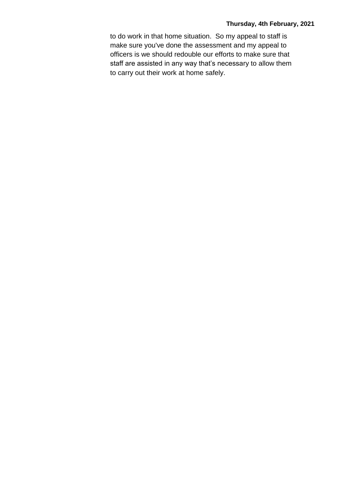to do work in that home situation. So my appeal to staff is make sure you've done the assessment and my appeal to officers is we should redouble our efforts to make sure that staff are assisted in any way that's necessary to allow them to carry out their work at home safely.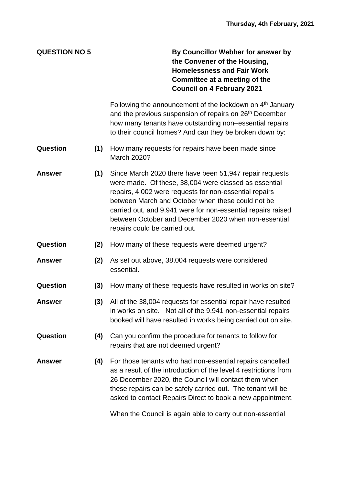**QUESTION NO 5 By Councillor Webber for answer by the Convener of the Housing, Homelessness and Fair Work Committee at a meeting of the Council on 4 February 2021**

> Following the announcement of the lockdown on 4<sup>th</sup> January and the previous suspension of repairs on 26<sup>th</sup> December how many tenants have outstanding non–essential repairs to their council homes? And can they be broken down by:

- **Question (1)** How many requests for repairs have been made since March 2020?
- **Answer (1)** Since March 2020 there have been 51,947 repair requests were made. Of these, 38,004 were classed as essential repairs, 4,002 were requests for non-essential repairs between March and October when these could not be carried out, and 9,941 were for non-essential repairs raised between October and December 2020 when non-essential repairs could be carried out.
- **Question (2)** How many of these requests were deemed urgent?
- **Answer (2)** As set out above, 38,004 requests were considered essential.
- **Question (3)** How many of these requests have resulted in works on site?
- **Answer (3)** All of the 38,004 requests for essential repair have resulted in works on site. Not all of the 9,941 non-essential repairs booked will have resulted in works being carried out on site.
- **Question (4)** Can you confirm the procedure for tenants to follow for repairs that are not deemed urgent?
- **Answer (4)** For those tenants who had non-essential repairs cancelled as a result of the introduction of the level 4 restrictions from 26 December 2020, the Council will contact them when these repairs can be safely carried out. The tenant will be asked to contact Repairs Direct to book a new appointment.

When the Council is again able to carry out non-essential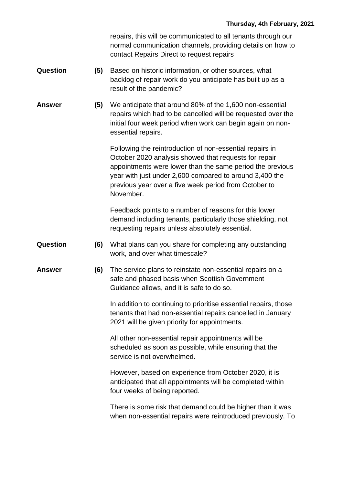repairs, this will be communicated to all tenants through our normal communication channels, providing details on how to contact Repairs Direct to request repairs

- **Question (5)** Based on historic information, or other sources, what backlog of repair work do you anticipate has built up as a result of the pandemic?
- **Answer (5)** We anticipate that around 80% of the 1,600 non-essential repairs which had to be cancelled will be requested over the initial four week period when work can begin again on nonessential repairs.

Following the reintroduction of non-essential repairs in October 2020 analysis showed that requests for repair appointments were lower than the same period the previous year with just under 2,600 compared to around 3,400 the previous year over a five week period from October to November.

Feedback points to a number of reasons for this lower demand including tenants, particularly those shielding, not requesting repairs unless absolutely essential.

- **Question (6)** What plans can you share for completing any outstanding work, and over what timescale?
- **Answer (6)** The service plans to reinstate non-essential repairs on a safe and phased basis when Scottish Government Guidance allows, and it is safe to do so.

In addition to continuing to prioritise essential repairs, those tenants that had non-essential repairs cancelled in January 2021 will be given priority for appointments.

All other non-essential repair appointments will be scheduled as soon as possible, while ensuring that the service is not overwhelmed.

However, based on experience from October 2020, it is anticipated that all appointments will be completed within four weeks of being reported.

There is some risk that demand could be higher than it was when non-essential repairs were reintroduced previously. To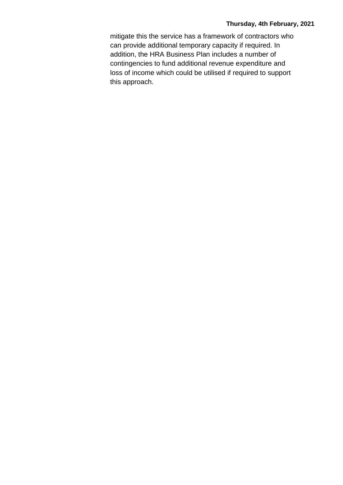mitigate this the service has a framework of contractors who can provide additional temporary capacity if required. In addition, the HRA Business Plan includes a number of contingencies to fund additional revenue expenditure and loss of income which could be utilised if required to support this approach.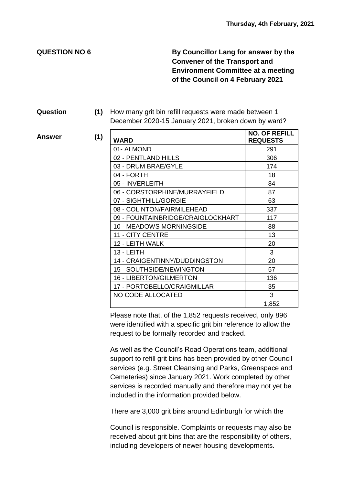**QUESTION NO 6 By Councillor Lang for answer by the Convener of the Transport and Environment Committee at a meeting of the Council on 4 February 2021**

#### **Question (1)** How many grit bin refill requests were made between 1 December 2020-15 January 2021, broken down by ward?

**Answer** (1)

| <b>WARD</b>                       | <b>NO. OF REFILL</b><br><b>REQUESTS</b> |
|-----------------------------------|-----------------------------------------|
| 01-ALMOND                         | 291                                     |
| 02 - PENTLAND HILLS               | 306                                     |
| 03 - DRUM BRAE/GYLE               | 174                                     |
| 04 - FORTH                        | 18                                      |
| 05 - INVERLEITH                   | 84                                      |
| 06 - CORSTORPHINE/MURRAYFIELD     | 87                                      |
| 07 - SIGHTHILL/GORGIE             | 63                                      |
| 08 - COLINTON/FAIRMILEHEAD        | 337                                     |
| 09 - FOUNTAINBRIDGE/CRAIGLOCKHART | 117                                     |
| <b>10 - MEADOWS MORNINGSIDE</b>   | 88                                      |
| <b>11 - CITY CENTRE</b>           | 13                                      |
| 12 - LEITH WALK                   | 20                                      |
| 13 - LEITH                        | 3                                       |
| 14 - CRAIGENTINNY/DUDDINGSTON     | 20                                      |
| <b>15 - SOUTHSIDE/NEWINGTON</b>   | 57                                      |
| <b>16 - LIBERTON/GILMERTON</b>    | 136                                     |
| 17 - PORTOBELLO/CRAIGMILLAR       | 35                                      |
| NO CODE ALLOCATED                 | 3                                       |
|                                   | 1,852                                   |

Please note that, of the 1,852 requests received, only 896 were identified with a specific grit bin reference to allow the request to be formally recorded and tracked.

As well as the Council's Road Operations team, additional support to refill grit bins has been provided by other Council services (e.g. Street Cleansing and Parks, Greenspace and Cemeteries) since January 2021. Work completed by other services is recorded manually and therefore may not yet be included in the information provided below.

There are 3,000 grit bins around Edinburgh for which the

Council is responsible. Complaints or requests may also be received about grit bins that are the responsibility of others, including developers of newer housing developments.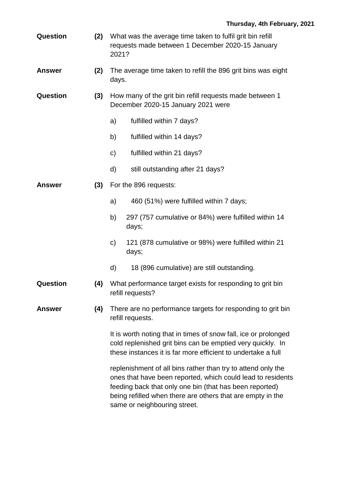| Question | What was the average time taken to fulfil grit bin refill |
|----------|-----------------------------------------------------------|
|          | requests made between 1 December 2020-15 January          |
|          | 2021?                                                     |

- **Answer (2)** The average time taken to refill the 896 grit bins was eight days.
- **Question (3)** How many of the grit bin refill requests made between 1 December 2020-15 January 2021 were
	- a) fulfilled within 7 days?
	- b) fulfilled within 14 days?
	- c) fulfilled within 21 days?
	- d) still outstanding after 21 days?
- **Answer (3)** For the 896 requests:
	- a) 460 (51%) were fulfilled within 7 days;
	- b) 297 (757 cumulative or 84%) were fulfilled within 14 days;
	- c) 121 (878 cumulative or 98%) were fulfilled within 21 days;
	- d) 18 (896 cumulative) are still outstanding.
- **Question (4)** What performance target exists for responding to grit bin refill requests?
- **Answer (4)** There are no performance targets for responding to grit bin refill requests.

It is worth noting that in times of snow fall, ice or prolonged cold replenished grit bins can be emptied very quickly. In these instances it is far more efficient to undertake a full

replenishment of all bins rather than try to attend only the ones that have been reported, which could lead to residents feeding back that only one bin (that has been reported) being refilled when there are others that are empty in the same or neighbouring street.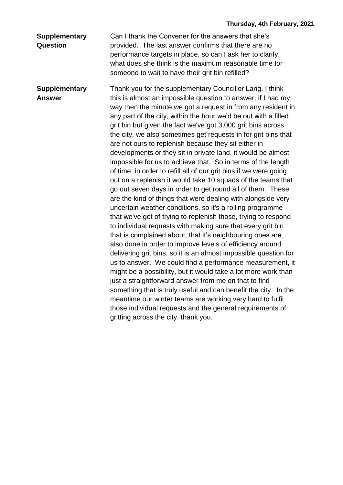### **Supplementary Question**

Can I thank the Convener for the answers that she's provided. The last answer confirms that there are no performance targets in place, so can I ask her to clarify, what does she think is the maximum reasonable time for someone to wait to have their grit bin refilled?

**Supplementary Answer** Thank you for the supplementary Councillor Lang. I think this is almost an impossible question to answer, if I had my way then the minute we got a request in from any resident in any part of the city, within the hour we'd be out with a filled grit bin but given the fact we've got 3,000 grit bins across the city, we also sometimes get requests in for grit bins that are not ours to replenish because they sit either in developments or they sit in private land. it would be almost impossible for us to achieve that. So in terms of the length of time, in order to refill all of our grit bins if we were going out on a replenish it would take 10 squads of the teams that go out seven days in order to get round all of them. These are the kind of things that were dealing with alongside very uncertain weather conditions, so it's a rolling programme that we've got of trying to replenish those, trying to respond to individual requests with making sure that every grit bin that is complained about, that it's neighbouring ones are also done in order to improve levels of efficiency around delivering grit bins, so it is an almost impossible question for us to answer. We could find a performance measurement, it might be a possibility, but it would take a lot more work than just a straightforward answer from me on that to find something that is truly useful and can benefit the city. In the meantime our winter teams are working very hard to fulfil those individual requests and the general requirements of gritting across the city, thank you.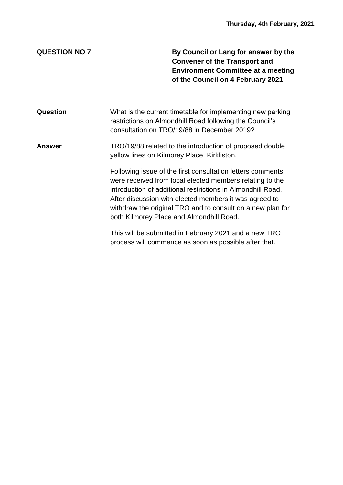**QUESTION NO 7 By Councillor Lang for answer by the Convener of the Transport and Environment Committee at a meeting of the Council on 4 February 2021**

**Question** What is the current timetable for implementing new parking restrictions on Almondhill Road following the Council's consultation on TRO/19/88 in December 2019?

# **Answer** TRO/19/88 related to the introduction of proposed double yellow lines on Kilmorey Place, Kirkliston.

Following issue of the first consultation letters comments were received from local elected members relating to the introduction of additional restrictions in Almondhill Road. After discussion with elected members it was agreed to withdraw the original TRO and to consult on a new plan for both Kilmorey Place and Almondhill Road.

This will be submitted in February 2021 and a new TRO process will commence as soon as possible after that.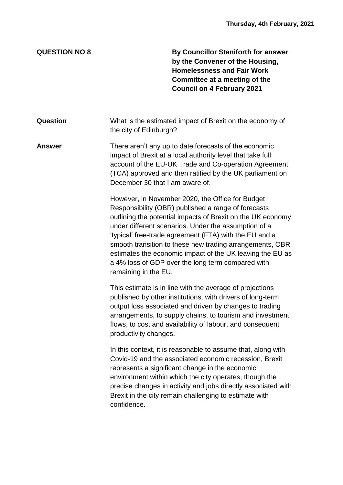**QUESTION NO 8 By Councillor Staniforth for answer by the Convener of the Housing, Homelessness and Fair Work Committee at a meeting of the Council on 4 February 2021**

| <b>Question</b> | What is the estimated impact of Brexit on the economy of |
|-----------------|----------------------------------------------------------|
|                 | the city of Edinburgh?                                   |

**Answer** There aren't any up to date forecasts of the economic impact of Brexit at a local authority level that take full account of the EU-UK Trade and Co-operation Agreement (TCA) approved and then ratified by the UK parliament on December 30 that I am aware of.

> However, in November 2020, the Office for Budget Responsibility (OBR) published a range of forecasts outlining the potential impacts of Brexit on the UK economy under different scenarios. Under the assumption of a 'typical' free-trade agreement (FTA) with the EU and a smooth transition to these new trading arrangements, OBR estimates the economic impact of the UK leaving the EU as a 4% loss of GDP over the long term compared with remaining in the EU.

This estimate is in line with the average of projections published by other institutions, with drivers of long-term output loss associated and driven by changes to trading arrangements, to supply chains, to tourism and investment flows, to cost and availability of labour, and consequent productivity changes.

In this context, it is reasonable to assume that, along with Covid-19 and the associated economic recession, Brexit represents a significant change in the economic environment within which the city operates, though the precise changes in activity and jobs directly associated with Brexit in the city remain challenging to estimate with confidence.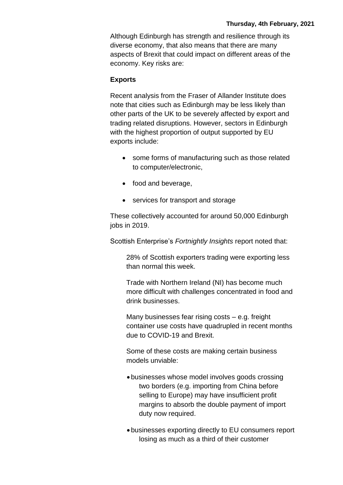Although Edinburgh has strength and resilience through its diverse economy, that also means that there are many aspects of Brexit that could impact on different areas of the economy. Key risks are:

### **Exports**

Recent analysis from the Fraser of Allander Institute does note that cities such as Edinburgh may be less likely than other parts of the UK to be severely affected by export and trading related disruptions. However, sectors in Edinburgh with the highest proportion of output supported by EU exports include:

- some forms of manufacturing such as those related to computer/electronic,
- food and beverage,
- services for transport and storage

These collectively accounted for around 50,000 Edinburgh jobs in 2019.

Scottish Enterprise's *Fortnightly Insights* report noted that:

28% of Scottish exporters trading were exporting less than normal this week.

Trade with Northern Ireland (NI) has become much more difficult with challenges concentrated in food and drink businesses.

Many businesses fear rising costs – e.g. freight container use costs have quadrupled in recent months due to COVID-19 and Brexit.

Some of these costs are making certain business models unviable:

- businesses whose model involves goods crossing two borders (e.g. importing from China before selling to Europe) may have insufficient profit margins to absorb the double payment of import duty now required.
- businesses exporting directly to EU consumers report losing as much as a third of their customer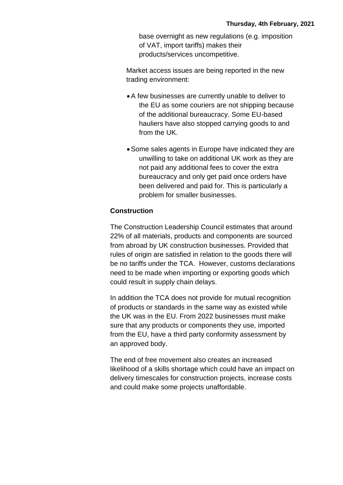base overnight as new regulations (e.g. imposition of VAT, import tariffs) makes their products/services uncompetitive.

Market access issues are being reported in the new trading environment:

- A few businesses are currently unable to deliver to the EU as some couriers are not shipping because of the additional bureaucracy. Some EU-based hauliers have also stopped carrying goods to and from the UK.
- Some sales agents in Europe have indicated they are unwilling to take on additional UK work as they are not paid any additional fees to cover the extra bureaucracy and only get paid once orders have been delivered and paid for. This is particularly a problem for smaller businesses.

# **Construction**

The Construction Leadership Council estimates that around 22% of all materials, products and components are sourced from abroad by UK construction businesses. Provided that rules of origin are satisfied in relation to the goods there will be no tariffs under the TCA. However, customs declarations need to be made when importing or exporting goods which could result in supply chain delays.

In addition the TCA does not provide for mutual recognition of products or standards in the same way as existed while the UK was in the EU. From 2022 businesses must make sure that any products or components they use, imported from the EU, have a third party conformity assessment by an approved body.

The end of free movement also creates an increased likelihood of a skills shortage which could have an impact on delivery timescales for construction projects, increase costs and could make some projects unaffordable.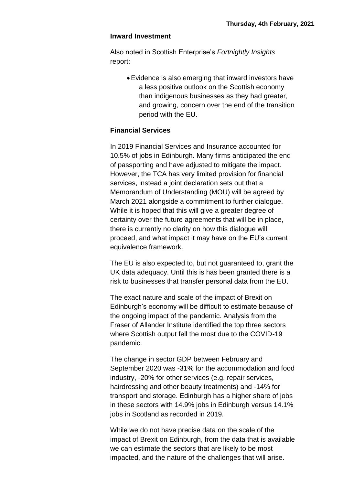#### **Inward Investment**

Also noted in Scottish Enterprise's *Fortnightly Insights* report:

> Evidence is also emerging that inward investors have a less positive outlook on the Scottish economy than indigenous businesses as they had greater, and growing, concern over the end of the transition period with the EU.

### **Financial Services**

In 2019 Financial Services and Insurance accounted for 10.5% of jobs in Edinburgh. Many firms anticipated the end of passporting and have adjusted to mitigate the impact. However, the TCA has very limited provision for financial services, instead a joint declaration sets out that a Memorandum of Understanding (MOU) will be agreed by March 2021 alongside a commitment to further dialogue. While it is hoped that this will give a greater degree of certainty over the future agreements that will be in place, there is currently no clarity on how this dialogue will proceed, and what impact it may have on the EU's current equivalence framework.

The EU is also expected to, but not guaranteed to, grant the UK data adequacy. Until this is has been granted there is a risk to businesses that transfer personal data from the EU.

The exact nature and scale of the impact of Brexit on Edinburgh's economy will be difficult to estimate because of the ongoing impact of the pandemic. Analysis from the Fraser of Allander Institute identified the top three sectors where Scottish output fell the most due to the COVID-19 pandemic.

The change in sector GDP between February and September 2020 was -31% for the accommodation and food industry, -20% for other services (e.g. repair services, hairdressing and other beauty treatments) and -14% for transport and storage. Edinburgh has a higher share of jobs in these sectors with 14.9% jobs in Edinburgh versus 14.1% jobs in Scotland as recorded in 2019.

While we do not have precise data on the scale of the impact of Brexit on Edinburgh, from the data that is available we can estimate the sectors that are likely to be most impacted, and the nature of the challenges that will arise.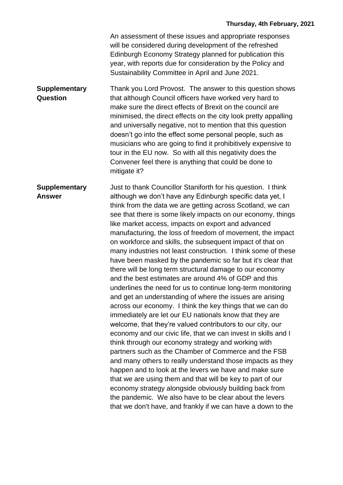An assessment of these issues and appropriate responses will be considered during development of the refreshed Edinburgh Economy Strategy planned for publication this year, with reports due for consideration by the Policy and Sustainability Committee in April and June 2021.

**Supplementary Question** Thank you Lord Provost. The answer to this question shows that although Council officers have worked very hard to make sure the direct effects of Brexit on the council are minimised, the direct effects on the city look pretty appalling and universally negative, not to mention that this question doesn't go into the effect some personal people, such as musicians who are going to find it prohibitively expensive to tour in the EU now. So with all this negativity does the Convener feel there is anything that could be done to mitigate it?

**Supplementary Answer** Just to thank Councillor Staniforth for his question. I think although we don't have any Edinburgh specific data yet, I think from the data we are getting across Scotland, we can see that there is some likely impacts on our economy, things like market access, impacts on export and advanced manufacturing, the loss of freedom of movement, the impact on workforce and skills, the subsequent impact of that on many industries not least construction. I think some of these have been masked by the pandemic so far but it's clear that there will be long term structural damage to our economy and the best estimates are around 4% of GDP and this underlines the need for us to continue long-term monitoring and get an understanding of where the issues are arising across our economy. I think the key things that we can do immediately are let our EU nationals know that they are welcome, that they're valued contributors to our city, our economy and our civic life, that we can invest in skills and I think through our economy strategy and working with partners such as the Chamber of Commerce and the FSB and many others to really understand those impacts as they happen and to look at the levers we have and make sure that we are using them and that will be key to part of our economy strategy alongside obviously building back from the pandemic. We also have to be clear about the levers that we don't have, and frankly if we can have a down to the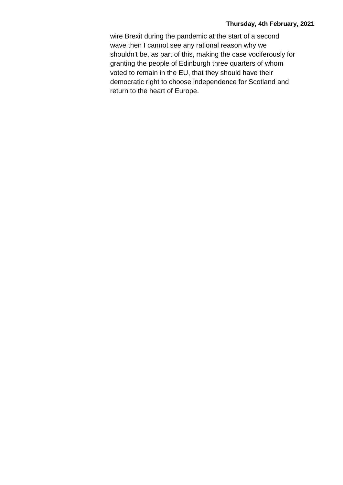wire Brexit during the pandemic at the start of a second wave then I cannot see any rational reason why we shouldn't be, as part of this, making the case vociferously for granting the people of Edinburgh three quarters of whom voted to remain in the EU, that they should have their democratic right to choose independence for Scotland and return to the heart of Europe.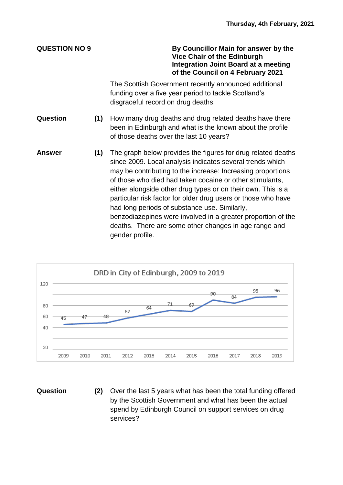**QUESTION NO 9 By Councillor Main for answer by the Vice Chair of the Edinburgh Integration Joint Board at a meeting of the Council on 4 February 2021**

> The Scottish Government recently announced additional funding over a five year period to tackle Scotland's disgraceful record on drug deaths.

- **Question (1)** How many drug deaths and drug related deaths have there been in Edinburgh and what is the known about the profile of those deaths over the last 10 years?
- **Answer (1)** The graph below provides the figures for drug related deaths since 2009. Local analysis indicates several trends which may be contributing to the increase: Increasing proportions of those who died had taken cocaine or other stimulants, either alongside other drug types or on their own. This is a particular risk factor for older drug users or those who have had long periods of substance use. Similarly, benzodiazepines were involved in a greater proportion of the deaths. There are some other changes in age range and gender profile.



**Question (2)** Over the last 5 years what has been the total funding offered by the Scottish Government and what has been the actual spend by Edinburgh Council on support services on drug services?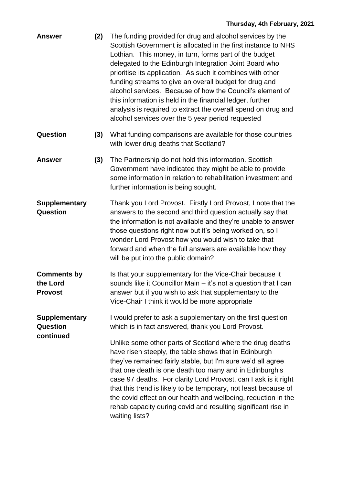| <b>Answer</b>                                        | (2) | The funding provided for drug and alcohol services by the<br>Scottish Government is allocated in the first instance to NHS<br>Lothian. This money, in turn, forms part of the budget<br>delegated to the Edinburgh Integration Joint Board who<br>prioritise its application. As such it combines with other<br>funding streams to give an overall budget for drug and<br>alcohol services. Because of how the Council's element of<br>this information is held in the financial ledger, further<br>analysis is required to extract the overall spend on drug and<br>alcohol services over the 5 year period requested |
|------------------------------------------------------|-----|------------------------------------------------------------------------------------------------------------------------------------------------------------------------------------------------------------------------------------------------------------------------------------------------------------------------------------------------------------------------------------------------------------------------------------------------------------------------------------------------------------------------------------------------------------------------------------------------------------------------|
| <b>Question</b>                                      | (3) | What funding comparisons are available for those countries<br>with lower drug deaths that Scotland?                                                                                                                                                                                                                                                                                                                                                                                                                                                                                                                    |
| <b>Answer</b>                                        | (3) | The Partnership do not hold this information. Scottish<br>Government have indicated they might be able to provide<br>some information in relation to rehabilitation investment and<br>further information is being sought.                                                                                                                                                                                                                                                                                                                                                                                             |
| <b>Supplementary</b><br>Question                     |     | Thank you Lord Provost. Firstly Lord Provost, I note that the<br>answers to the second and third question actually say that<br>the information is not available and they're unable to answer<br>those questions right now but it's being worked on, so I<br>wonder Lord Provost how you would wish to take that<br>forward and when the full answers are available how they<br>will be put into the public domain?                                                                                                                                                                                                     |
| <b>Comments by</b><br>the Lord<br><b>Provost</b>     |     | Is that your supplementary for the Vice-Chair because it<br>sounds like it Councillor Main – it's not a question that I can<br>answer but if you wish to ask that supplementary to the<br>Vice-Chair I think it would be more appropriate                                                                                                                                                                                                                                                                                                                                                                              |
| <b>Supplementary</b><br><b>Question</b><br>continued |     | I would prefer to ask a supplementary on the first question<br>which is in fact answered, thank you Lord Provost.                                                                                                                                                                                                                                                                                                                                                                                                                                                                                                      |
|                                                      |     | Unlike some other parts of Scotland where the drug deaths<br>have risen steeply, the table shows that in Edinburgh<br>they've remained fairly stable, but I'm sure we'd all agree<br>that one death is one death too many and in Edinburgh's<br>case 97 deaths. For clarity Lord Provost, can I ask is it right<br>that this trend is likely to be temporary, not least because of<br>the covid effect on our health and wellbeing, reduction in the<br>rehab capacity during covid and resulting significant rise in<br>waiting lists?                                                                                |